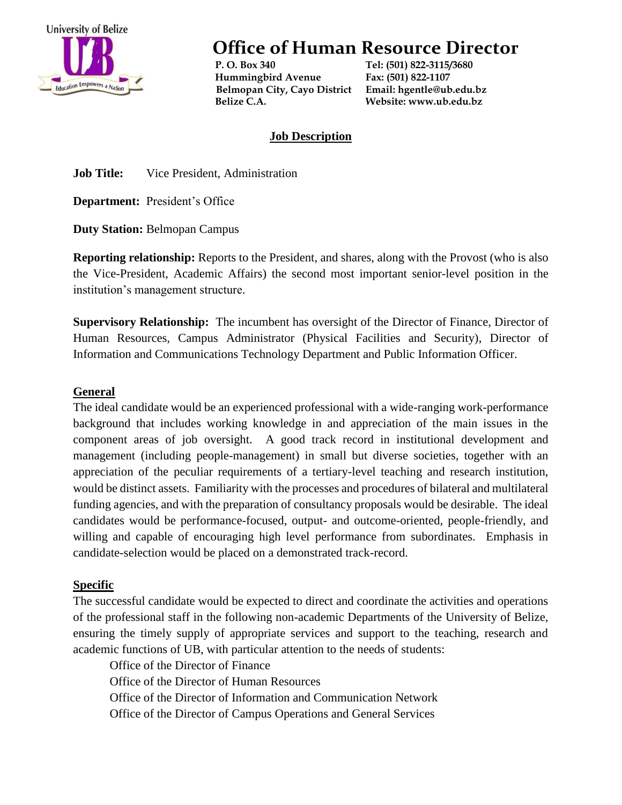

**Office of Human Resource Director**

 **P. O. Box 340 Tel: (501) 822-3115/3680 Hummingbird Avenue Fax: (501) 822-1107 Belmopan City, Cayo District Email[: hgentle@ub.edu.bz](mailto:hgentle@ub.edu.bz) Belize C.A. Website: www.ub.edu.bz**

### **Job Description**

**Job Title:** Vice President, Administration

**Department:** President's Office

**Duty Station:** Belmopan Campus

**Reporting relationship:** Reports to the President, and shares, along with the Provost (who is also the Vice-President, Academic Affairs) the second most important senior-level position in the institution's management structure.

**Supervisory Relationship:** The incumbent has oversight of the Director of Finance, Director of Human Resources, Campus Administrator (Physical Facilities and Security), Director of Information and Communications Technology Department and Public Information Officer.

#### **General**

The ideal candidate would be an experienced professional with a wide-ranging work-performance background that includes working knowledge in and appreciation of the main issues in the component areas of job oversight. A good track record in institutional development and management (including people-management) in small but diverse societies, together with an appreciation of the peculiar requirements of a tertiary-level teaching and research institution, would be distinct assets. Familiarity with the processes and procedures of bilateral and multilateral funding agencies, and with the preparation of consultancy proposals would be desirable. The ideal candidates would be performance-focused, output- and outcome-oriented, people-friendly, and willing and capable of encouraging high level performance from subordinates. Emphasis in candidate-selection would be placed on a demonstrated track-record.

## **Specific**

The successful candidate would be expected to direct and coordinate the activities and operations of the professional staff in the following non-academic Departments of the University of Belize, ensuring the timely supply of appropriate services and support to the teaching, research and academic functions of UB, with particular attention to the needs of students:

Office of the Director of Finance Office of the Director of Human Resources Office of the Director of Information and Communication Network Office of the Director of Campus Operations and General Services